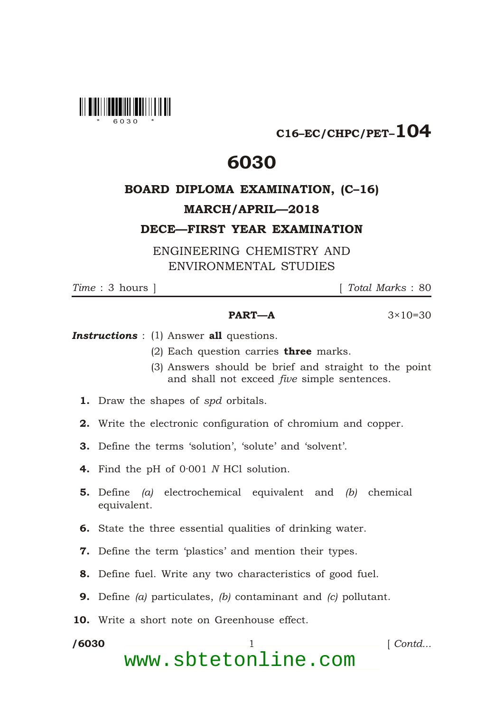

C16–EC/CHPC/PET–104

## 6030

## BOARD DIPLOMA EXAMINATION, (C–16)

## MARCH/APRIL—2018

DECE—FIRST YEAR EXAMINATION

ENGINEERING CHEMISTRY AND ENVIRONMENTAL STUDIES

\*

*Time* : 3 hours ] [ *Total Marks* : 80

## **PART—A**  $3 \times 10 = 30$

**Instructions** : (1) Answer all questions.

- (2) Each question carries **three** marks.
- (3) Answers should be brief and straight to the point and shall not exceed *five* simple sentences.
- 1. Draw the shapes of *spd* orbitals.
- 2. Write the electronic configuration of chromium and copper.
- 3. Define the terms 'solution', 'solute' and 'solvent'.
- 4. Find the pH of 0·001 *N* HCl solution.
- 5. Define *(a)* electrochemical equivalent and *(b)* chemical equivalent.
- 6. State the three essential qualities of drinking water.
- 7. Define the term 'plastics' and mention their types.
- 8. Define fuel. Write any two characteristics of good fuel.
- 9. Define *(a)* particulates, *(b)* contaminant and *(c)* pollutant.
- 10. Write a short note on Greenhouse effect.

/6030 1 *Contd...* www.sbtetonline.com